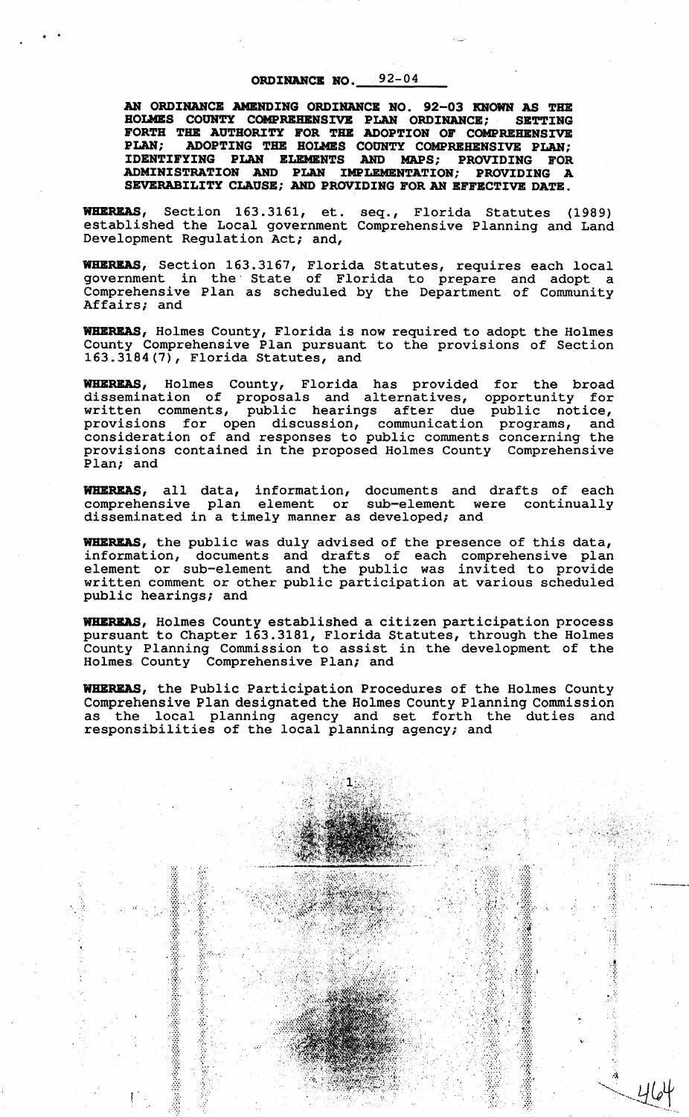## ORDINANCE NO.  $92-04$

. .

AN ORDINANCE AMENDING ORDINANCE NO. 92-03 KNOWN AS THE HOLMES COUR'l'Y COMPRBHBRSIVE PLAN ORDINANCE; SBTTIRG FORTH THE AUTHORITY FOR THE ADOPTION OF COMPREHENSIVE PLAN; ADOPTING THE HOLMES COUNTY COMPREHENSIVE PLAN; IDENTIFYING PLAN BLBMBRTS ARD MAPS; PROVIDING FOR ADMINISTRATION ARD PLAN IMPLEMERTATIOR; PROVIDING A SBVERABILITY CLAUSE; ARD PROVIDING FOR AR EFFECTIVE DATE.

WHBREAS, Section 163.3161, et. seq., Florida Statutes (1989) established the Local government Comprehensive Planning and Land Development Regulation Act; and,

WHBREAS, Section 163.3167, Florida Statutes, requires each local government in the· State of Florida to prepare and adopt a Comprehensive Plan as scheduled by the Department of Community Affairs; and

WHBREAS, Holmes County, Florida is now required to adopt the Holmes County Comprehensive Plan pursuant to the provisions of Section 163.3184(7), Florida Statutes, and

WHEREAS, Holmes County, Florida has provided for the broad dissemination of proposals and alternatives, opportunity for written comments, public hearings after due public notice, provisions for open discussion, communication programs, and consideration of and responses to public comments concerning the provisions contained in the proposed Holmes County Comprehensive Plan; and

WHEREAS, all data, information, documents and drafts of each comprehensive plan element or sub-element were continually disseminated in a timely manner as developed; and

WHEREAS, the public was duly advised of the presence of this data, information, documents and drafts of each comprehensive plan element or sub-element and the public was invited to provide written comment or other public participation at various scheduled public hearings; and

WHBREAS, Holmes County established a citizen participation process pursuant to Chapter 163.3181, Florida Statutes, through the Holmes County Planning Commission to assist in the development of the Holmes County Comprehensive Plan; and

WHEREAS, the Public Participation Procedures of the Holmes County Comprehensive Plan designated the Holmes County Planning Commission as the local planning agency and set forth the duties and responsibilities of the local planning agency; and

.•. '\,

À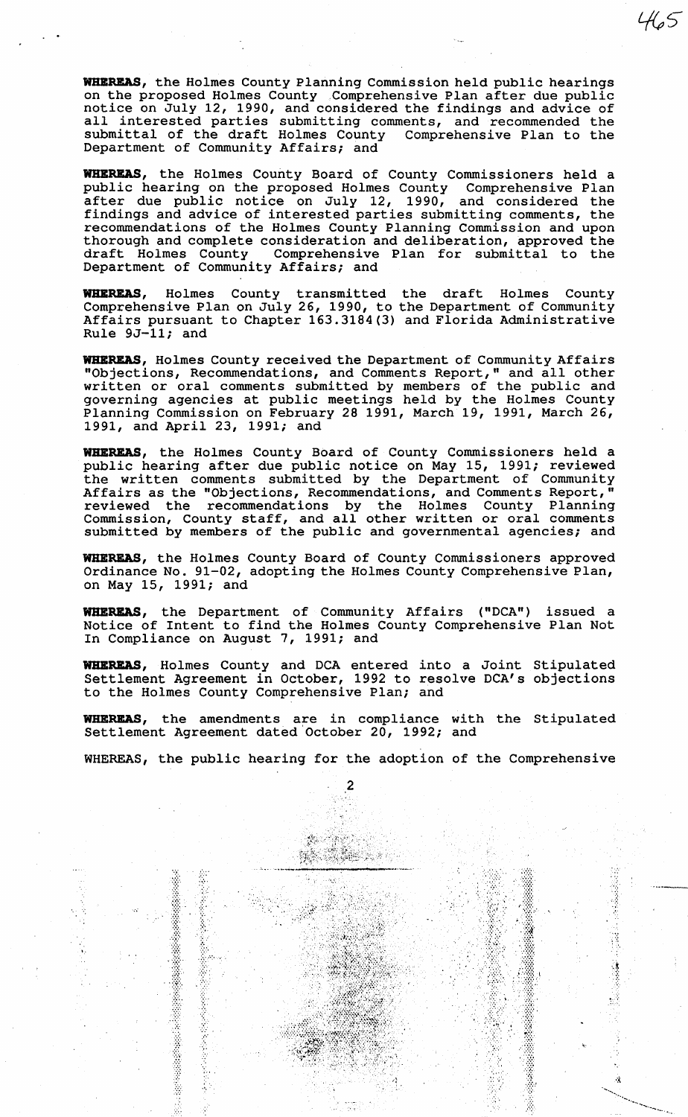**WBBRBAS,** the Holmes County Planning Commission held public hearings on the proposed Holmes County .Comprehensive Plan after due public notice on July 12, 1990, and considered the findings and advice of all interested parties submitting comments, and recommended the submittal of the draft Holmes County Comprehensive Plan to the Department of Community Affairs; and

**WBBRBAS,** the Holmes County Board of County Commissioners held a public hearing on the proposed Holmes County Comprehensive Plan after due public notice on July 12, 1990, and considered the findings and advice of interested parties submitting comments, the recommendations of the Holmes County Planning Commission and upon thorough and complete consideration and deliberation, approved the draft Holmes County Comprehensive Plan for submittal to the draft Holmes County Comprehensive Plan for submittal to the Department of Community Affairs; and

**WBBRBAS,** Holmes County transmitted the draft Holmes County Comprehensive Plan on July 26, 1990, to the Department of Community Affairs pursuant to Chapter 163.3184(3) and Florida Administrative Rule 9J-11; and

**WBBRBAS,** Holmes County received the Department of Community Affairs "Objections, Recommendations, and Comments Report," and all other written or oral comments submitted by members of the public and governing agencies at public meetings held by the Holmes County Planning Commission on February 28 1991, March 19, 1991, March 26, 1991, and April 23, 1991; and

**WHEREAS,** the Holmes County Board of County Commissioners held a public hearing after due public notice on May 15, 1991; reviewed the written comments submitted by the Department of Community Affairs as the "Objections, Recommendations, and Comments Report," reviewed the recommendations by the Holmes County Planning Commission, County staff, and all other written or oral comments submitted by members of the public and governmental agencies; and

WHEREAS, the Holmes County Board of County Commissioners approved Ordinance No. 91-02, adopting the Holmes County Comprehensive Plan, on May 15, 1991; and

WHEREAS, the Department of Community Affairs ("DCA") issued a Notice of Intent to find the Holmes County Comprehensive Plan Not In Compliance on August 7, 1991; and

**WBBRBAS,** Holmes County and DCA entered into a Joint Stipulated Settlement Agreement in October, 1992 to resolve DCA's objections to the Holmes County Comprehensive Plan; and

**WBBRBAS,** the amendments are in compliance with the Stipulated Settlement Agreement dated October 20, 1992; and

WHEREAS, the public hearing for the adoption of the Comprehensive

2

til.

..... .....\_\_\_,

....

.:•:·

*.. ·:* 

··.·. ··----

•,

Ę

·· ........... .................. \_\_ *:·.-.*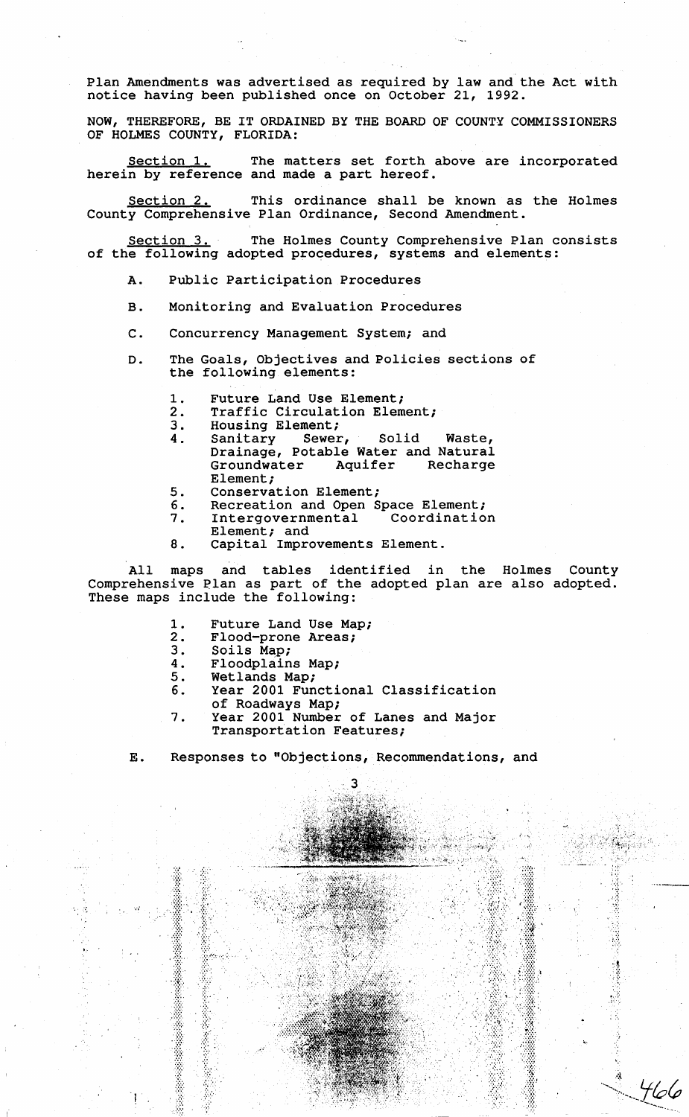Plan Amendments was advertised as required by law and the Act with notice having been published once on October 21, 1992.

NOW, THEREFORE, BE IT ORDAINED BY THE BOARD OF COUNTY COMMISSIONERS OF HOLMES COUNTY, FLORIDA:

Section 1. The matters set forth above are incorporated herein by reference and made a part hereof.

Section 2. This ordinance shall be known as the Holmes County Comprehensive Plan Ordinance, Second Amendment.

Section 3. The Holmes County Comprehensive Plan consists of the following adopted procedures, systems and elements:

- A. Public Participation Procedures
- B. Monitoring and Evaluation Procedures
- C. Concurrency Management System; and
- D. The Goals, Objectives and Policies sections of the following elements:
	- 1. Future Land Use Element;
	- 2. Traffic Circulation Element;<br>3. Housing Element;
	-
	- 3. Housing Element;<br>4. Sanitary Sewer, 4. Sanitary Sewer, Solid Waste, Drainage, Potable Water and Natural Groundwater Aquifer Recharge Element;
	- 5. Conservation Element;<br>6. Recreation and Open S
		-
	- 6. Recreation and Open Space Element;<br>7. Intergovernmental Coordination Intergovernmental Element; and
	- 8. Capital Improvements Element.

All maps and tables identified in the Holmes County Comprehensive Plan as part of the adopted plan are also adopted. These maps include the following:

- 1. Future Land Use Map;<br>2. Flood-prone Areas;
- 2. Flood-prone Areas;<br>3. Soils Map;
- 3. Soils Map;<br>4. Floodplain

'. :.:

.....

!

•.·

- 4. Floodplains Map;<br>5. Wetlands Map;
- 5. Wetlands Map;<br>6. Year 2001 Fun
- Year 2001 Functional Classification of Roadways Map;
- 7. Year 2001 Number of Lanes and Major Transportation Features;

## E. Responses to "Objections, Recommendations, and

ર

š,

ġ

'66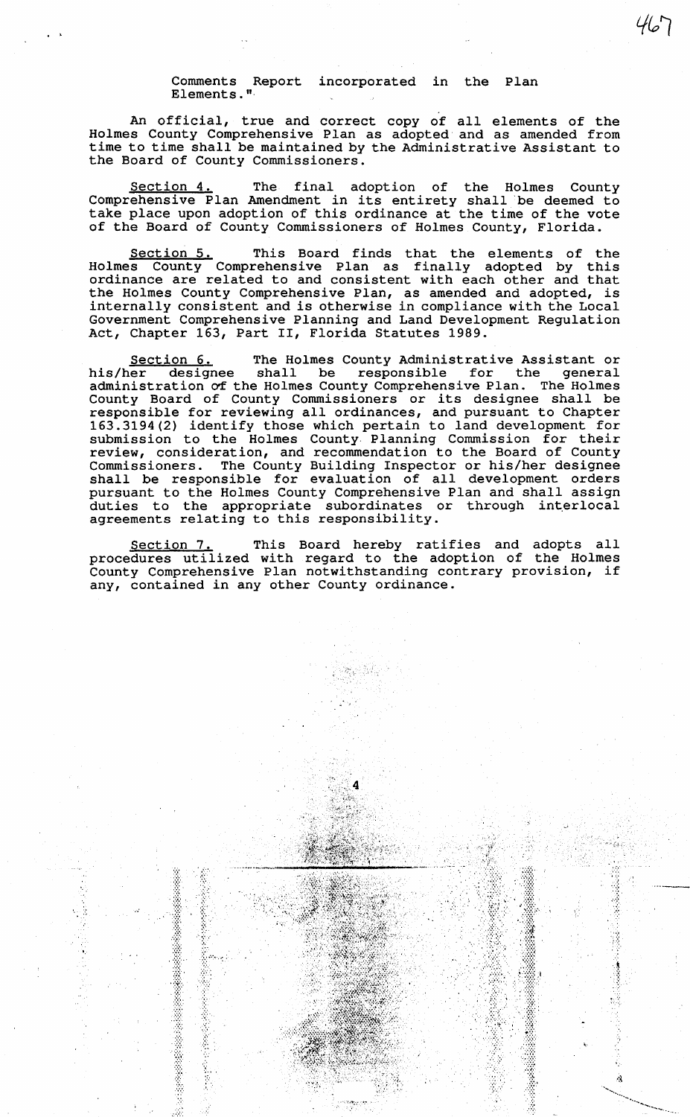## Comments Report incorporated in the Plan Elements."·

 $\cdot$   $\cdot$ 

An official, true and correct copy of all elements of the Holmes County Comprehensive Plan as adopted and as amended from time to time shall be maintained by the Administrative Assistant to the Board of County Commissioners.

Section 4. The final adoption of the Holmes County Comprehensive Plan Amendment in its entirety shall be deemed to take place upon adoption of this ordinance at the time of the vote of the Board of County Commissioners of Holmes County, Florida.

Section 5. This Board finds that the elements of the Holmes County Comprehensive Plan as finally adopted by this ordinance are related to and consistent with each other and that the Holmes County Comprehensive Plan, as amended and adopted, is internally consistent and is otherwise in compliance with the Local Government Comprehensive Planning and Land Development Regulation Act, Chapter 163, Part II, Florida Statutes 1989.

Section 6. The Holmes County Administrative Assistant or his/her designee shall be responsible for the general his/her designee shall be responsible for the general administration of the Holmes County Comprehensive Plan. The Holmes County Board of County Commissioners or its designee shall be responsible for reviewing all ordinances, and pursuant to Chapter 163.3194(2) identify those which pertain to land development for submission to the Holmes County Planning Commission for their review, consideration, and recommendation to the Board of County Commissioners. The County Building Inspector or his/her designee shall be responsible for evaluation of all development orders pursuant to the Holmes County Comprehensive Plan and shall assign parbaans to the normes county compromented run and sharp assign<br>duties to the appropriate subordinates or through interlocal ducies to the appropriate substitutates of

Section 7. This Board hereby ratifies and adopts all procedures utilized with regard to the adoption of the Holmes County Comprehensive Plan notwithstanding contrary provision, if any, contained in any other County ordinance.

Ą,

···:·:· *:·.·.·*  '.'.'.

 $\frac{m}{2}$ *:::*  ...  $\mathcal{L}^{\infty}$